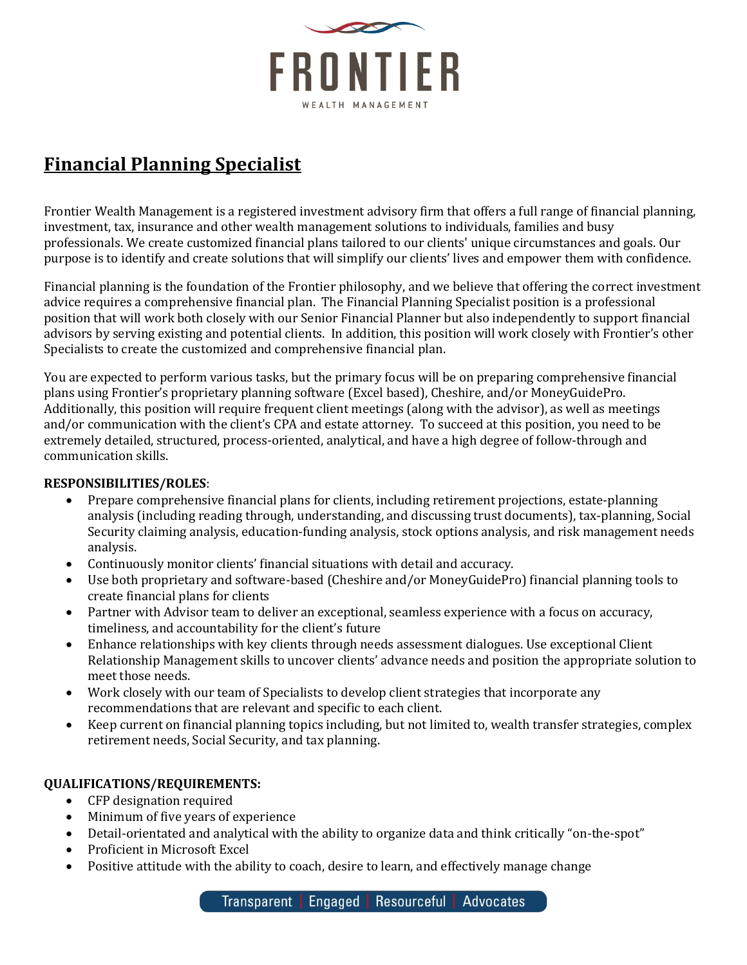

# **Financial Planning Specialist**

Frontier Wealth Management is a registered investment advisory firm that offers a full range of financial planning, investment, tax, insurance and other wealth management solutions to individuals, families and busy professionals. We create customized financial plans tailored to our clients' unique circumstances and goals. Our purpose is to identify and create solutions that will simplify our clients' lives and empower them with confidence.

Financial planning is the foundation of the Frontier philosophy, and we believe that offering the correct investment advice requires a comprehensive financial plan. The Financial Planning Specialist position is a professional position that will work both closely with our Senior Financial Planner but also independently to support financial advisors by serving existing and potential clients. In addition, this position will work closely with Frontier's other Specialists to create the customized and comprehensive financial plan.

You are expected to perform various tasks, but the primary focus will be on preparing comprehensive financial plans using Frontier's proprietary planning software (Excel based), Cheshire, and/or MoneyGuidePro. Additionally, this position will require frequent client meetings (along with the advisor), as well as meetings and/or communication with the client's CPA and estate attorney. To succeed at this position, you need to be extremely detailed, structured, process-oriented, analytical, and have a high degree of follow-through and communication skills.

### **RESPONSIBILITIES/ROLES**:

- Prepare comprehensive financial plans for clients, including retirement projections, estate-planning analysis (including reading through, understanding, and discussing trust documents), tax-planning, Social Security claiming analysis, education-funding analysis, stock options analysis, and risk management needs analysis.
- Continuously monitor clients' financial situations with detail and accuracy.
- Use both proprietary and software-based (Cheshire and/or MoneyGuidePro) financial planning tools to create financial plans for clients
- Partner with Advisor team to deliver an exceptional, seamless experience with a focus on accuracy, timeliness, and accountability for the client's future
- Enhance relationships with key clients through needs assessment dialogues. Use exceptional Client Relationship Management skills to uncover clients' advance needs and position the appropriate solution to meet those needs.
- Work closely with our team of Specialists to develop client strategies that incorporate any recommendations that are relevant and specific to each client.
- Keep current on financial planning topics including, but not limited to, wealth transfer strategies, complex retirement needs, Social Security, and tax planning.

### **QUALIFICATIONS/REQUIREMENTS:**

- CFP designation required
- Minimum of five years of experience
- Detail-orientated and analytical with the ability to organize data and think critically "on-the-spot"
- Proficient in Microsoft Excel
- Positive attitude with the ability to coach, desire to learn, and effectively manage change